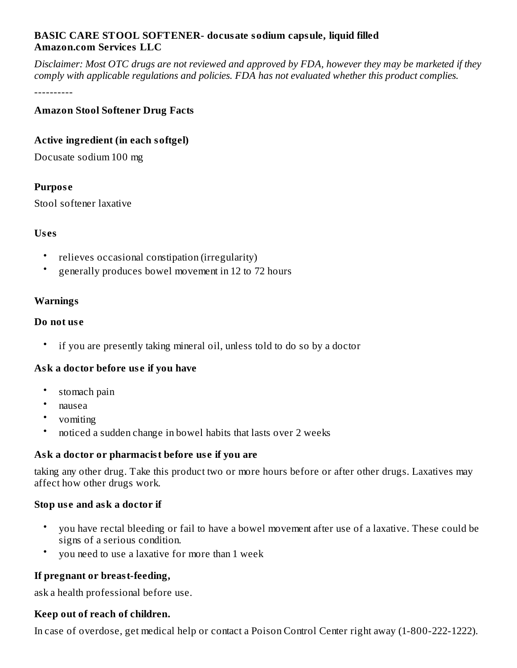## **BASIC CARE STOOL SOFTENER- docusate sodium capsule, liquid filled Amazon.com Services LLC**

Disclaimer: Most OTC drugs are not reviewed and approved by FDA, however they may be marketed if they *comply with applicable regulations and policies. FDA has not evaluated whether this product complies.*

----------

## **Amazon Stool Softener Drug Facts**

## **Active ingredient (in each softgel)**

Docusate sodium 100 mg

## **Purpos e**

Stool softener laxative

## **Us es**

- relieves occasional constipation (irregularity)
- generally produces bowel movement in 12 to 72 hours

## **Warnings**

## **Do not us e**

• if you are presently taking mineral oil, unless told to do so by a doctor

## **Ask a doctor before us e if you have**

- stomach pain
- nausea
- vomiting
- noticed a sudden change in bowel habits that lasts over 2 weeks

## **Ask a doctor or pharmacist before us e if you are**

taking any other drug. Take this product two or more hours before or after other drugs. Laxatives may affect how other drugs work.

## **Stop us e and ask a doctor if**

- you have rectal bleeding or fail to have a bowel movement after use of a laxative. These could be signs of a serious condition.
- you need to use a laxative for more than 1 week

## **If pregnant or breast-feeding,**

ask a health professional before use.

## **Keep out of reach of children.**

In case of overdose, get medical help or contact a Poison Control Center right away (1-800-222-1222).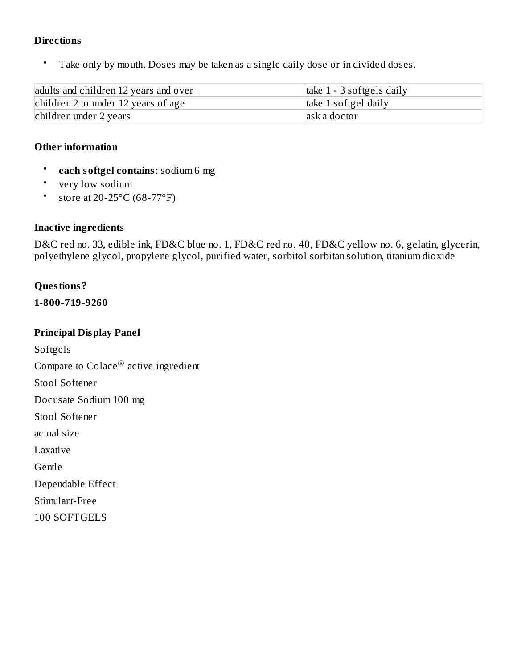#### **Directions**

• Take only by mouth. Doses may be taken as a single daily dose or in divided doses.

| adults and children 12 years and over | take $1 - 3$ softgels daily |
|---------------------------------------|-----------------------------|
| children 2 to under 12 years of age   | take 1 softgel daily        |
| children under 2 years                | ask a doctor                |

#### **Other information**

- **each softgel contains**: sodium 6 mg
- very low sodium
- store at 20-25 $\rm ^{\circ}C$  (68-77 $\rm ^{\circ}F)$

#### **Inactive ingredients**

D&C red no. 33, edible ink, FD&C blue no. 1, FD&C red no. 40, FD&C yellow no. 6, gelatin, glycerin, polyethylene glycol, propylene glycol, purified water, sorbitol sorbitan solution, titanium dioxide

#### **Questions?**

**1-800-719-9260**

#### **Principal Display Panel**

Softgels Compare to Colace $^\circledR$  active ingredient Stool Softener Docusate Sodium 100 mg Stool Softener actual size Laxative Gentle Dependable Effect

Stimulant-Free

100 SOFTGELS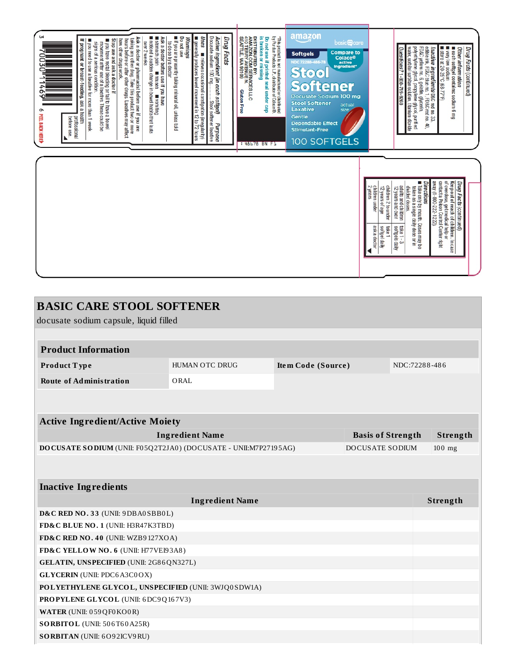

| <b>BASIC CARE STOOL SOFTENER</b>                                                   |                        |                          |  |          |               |  |  |  |
|------------------------------------------------------------------------------------|------------------------|--------------------------|--|----------|---------------|--|--|--|
| docusate sodium capsule, liquid filled                                             |                        |                          |  |          |               |  |  |  |
|                                                                                    |                        |                          |  |          |               |  |  |  |
| <b>Product Information</b>                                                         |                        |                          |  |          |               |  |  |  |
| Product Type                                                                       | HUMAN OTC DRUG         | Item Code (Source)       |  |          | NDC:72288-486 |  |  |  |
| <b>Route of Administration</b>                                                     | ORAL                   |                          |  |          |               |  |  |  |
|                                                                                    |                        |                          |  |          |               |  |  |  |
|                                                                                    |                        |                          |  |          |               |  |  |  |
| <b>Active Ingredient/Active Moiety</b>                                             |                        |                          |  |          |               |  |  |  |
|                                                                                    | <b>Ingredient Name</b> | <b>Basis of Strength</b> |  |          | Strength      |  |  |  |
| DOCUSATE SODIUM (UNII: F05Q2T2JA0) (DOCUSATE - UNII:M7P27195AG)<br>DOCUSATE SODIUM |                        |                          |  | $100$ mg |               |  |  |  |
|                                                                                    |                        |                          |  |          |               |  |  |  |
|                                                                                    |                        |                          |  |          |               |  |  |  |
| <b>Inactive Ingredients</b>                                                        |                        |                          |  |          |               |  |  |  |
| <b>Ingredient Name</b>                                                             |                        |                          |  |          | Strength      |  |  |  |
| D&C RED NO. 33 (UNII: 9DBA0SBB0L)                                                  |                        |                          |  |          |               |  |  |  |
| FD&C BLUE NO. 1 (UNII: H3R47K3TBD)                                                 |                        |                          |  |          |               |  |  |  |
| FD&C RED NO. 40 (UNII: WZB9127XOA)                                                 |                        |                          |  |          |               |  |  |  |
| FD&C YELLOW NO. 6 (UNII: H77VEI93A8)                                               |                        |                          |  |          |               |  |  |  |
| GELATIN, UNSPECIFIED (UNII: 2G86QN327L)                                            |                        |                          |  |          |               |  |  |  |
| <b>GLYCERIN</b> (UNII: PDC6A3C0OX)                                                 |                        |                          |  |          |               |  |  |  |
| POLYETHYLENE GLYCOL, UNSPECIFIED (UNII: 3WJQ0SDW1A)                                |                        |                          |  |          |               |  |  |  |
| PROPYLENE GLYCOL (UNII: 6DC9Q167V3)                                                |                        |                          |  |          |               |  |  |  |
| WATER (UNII: 059 QF0 KO0 R)                                                        |                        |                          |  |          |               |  |  |  |
| <b>SORBITOL</b> (UNII: 506T60A25R)                                                 |                        |                          |  |          |               |  |  |  |
| <b>SORBITAN (UNII: 6O92ICV9RU)</b>                                                 |                        |                          |  |          |               |  |  |  |